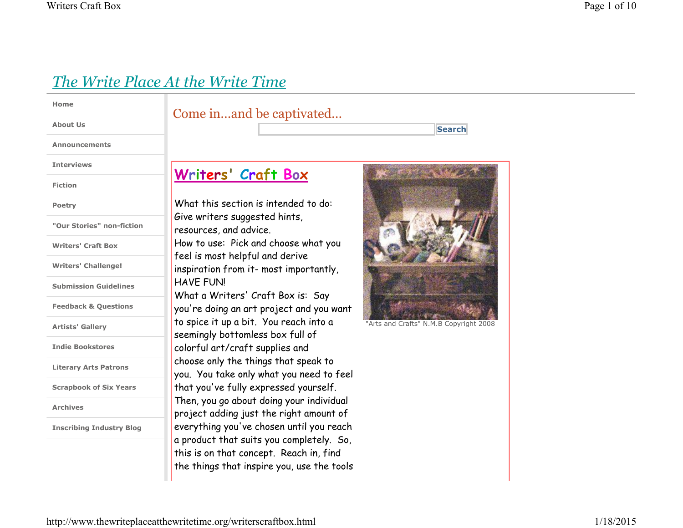# *The Write Place At the Write Time*

| Home                            | Come inand be o                                                                                                                                                                                                                                                                                                             |
|---------------------------------|-----------------------------------------------------------------------------------------------------------------------------------------------------------------------------------------------------------------------------------------------------------------------------------------------------------------------------|
| <b>About Us</b>                 |                                                                                                                                                                                                                                                                                                                             |
| <b>Announcements</b>            |                                                                                                                                                                                                                                                                                                                             |
| <b>Interviews</b>               | Writers' Craft                                                                                                                                                                                                                                                                                                              |
| <b>Fiction</b>                  |                                                                                                                                                                                                                                                                                                                             |
| <b>Poetry</b>                   | What this section is int<br>Give writers suggested<br>resources, and advice.<br>How to use: Pick and ch<br>feel is most helpful and<br>inspiration from it- mos<br><b>HAVE FUN!</b><br>What a Writers' Craft<br>you're doing an art proj<br>to spice it up a bit. You<br>seemingly bottomless b<br>colorful art/craft suppl |
| "Our Stories" non-fiction       |                                                                                                                                                                                                                                                                                                                             |
| <b>Writers' Craft Box</b>       |                                                                                                                                                                                                                                                                                                                             |
| <b>Writers' Challenge!</b>      |                                                                                                                                                                                                                                                                                                                             |
| <b>Submission Guidelines</b>    |                                                                                                                                                                                                                                                                                                                             |
| <b>Feedback &amp; Questions</b> |                                                                                                                                                                                                                                                                                                                             |
| <b>Artists' Gallery</b>         |                                                                                                                                                                                                                                                                                                                             |
| <b>Indie Bookstores</b>         |                                                                                                                                                                                                                                                                                                                             |
|                                 | choose only the things t                                                                                                                                                                                                                                                                                                    |

**Literary Arts Patrons**

**Scrapbook of Six Years**

**Archives**

**Inscribing Industry Blog**

## captivated...

## <u>Box</u>

tended to do: hints, hoose what you derive st importantly,

Box is: Say ject and you want u reach into a  $\infty$  full of lies and se only the things that speak to you. You take only what you need to feel that you've fully expressed yourself. Then, you go about doing your individual project adding just the right amount of everything you've chosen until you reach a product that suits you completely. So, this is on that concept. Reach in, find the things that inspire you, use the tools



**Search**

"Arts and Crafts" N.M.B Copyright 2008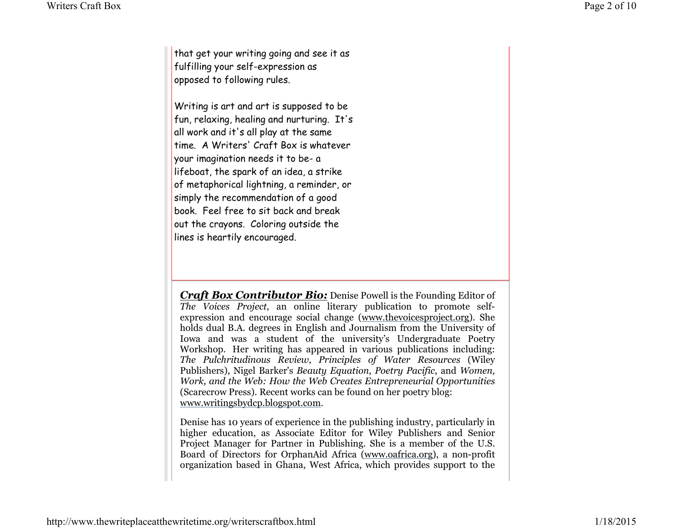that get your writing going and see it as fulfilling your self-expression as opposed to following rules.

Writing is art and art is supposed to be fun, relaxing, healing and nurturing. It's all work and it's all play at the same time. A Writers' Craft Box is whatever your imagination needs it to be- a lifeboat, the spark of an idea, a strike of metaphorical lightning, a reminder, or simply the recommendation of a good book. Feel free to sit back and break out the crayons. Coloring outside the lines is heartily encouraged.

*Craft Box Contributor Bio:* Denise Powell is the Founding Editor of *The Voices Project*, an online literary publication to promote selfexpression and encourage social change (www.thevoicesproject.org). She holds dual B.A. degrees in English and Journalism from the University of Iowa and was a student of the university's Undergraduate Poetry Workshop. Her writing has appeared in various publications including: *The Pulchritudinous Review*, *Principles of Water Resources* (Wiley Publishers), Nigel Barker's *Beauty Equation*, *Poetry Pacific*, and *Women, Work, and the Web: How the Web Creates Entrepreneurial Opportunities*(Scarecrow Press). Recent works can be found on her poetry blog:www.writingsbydcp.blogspot.com.

Denise has 10 years of experience in the publishing industry, particularly in higher education, as Associate Editor for Wiley Publishers and Senior Project Manager for Partner in Publishing. She is a member of the U.S. Board of Directors for OrphanAid Africa (www.oafrica.org), a non-profit organization based in Ghana, West Africa, which provides support to the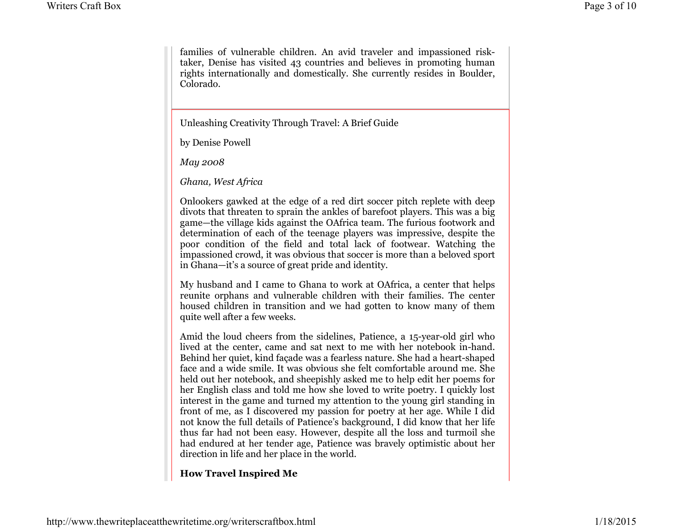families of vulnerable children. An avid traveler and impassioned risktaker, Denise has visited 43 countries and believes in promoting human rights internationally and domestically. She currently resides in Boulder, Colorado.

Unleashing Creativity Through Travel: A Brief Guide

by Denise Powell

*May 2008*

*Ghana, West Africa*

Onlookers gawked at the edge of a red dirt soccer pitch replete with deep divots that threaten to sprain the ankles of barefoot players. This was a big game—the village kids against the OAfrica team. The furious footwork and determination of each of the teenage players was impressive, despite the poor condition of the field and total lack of footwear. Watching the impassioned crowd, it was obvious that soccer is more than a beloved sport in Ghana—it's a source of great pride and identity.

My husband and I came to Ghana to work at OAfrica, a center that helps reunite orphans and vulnerable children with their families. The center housed children in transition and we had gotten to know many of them quite well after a few weeks.

Amid the loud cheers from the sidelines, Patience, a 15-year-old girl who lived at the center, came and sat next to me with her notebook in-hand. Behind her quiet, kind façade was a fearless nature. She had a heart-shaped face and a wide smile. It was obvious she felt comfortable around me. She held out her notebook, and sheepishly asked me to help edit her poems for her English class and told me how she loved to write poetry. I quickly lost interest in the game and turned my attention to the young girl standing in front of me, as I discovered my passion for poetry at her age. While I did not know the full details of Patience's background, I did know that her life thus far had not been easy. However, despite all the loss and turmoil she had endured at her tender age, Patience was bravely optimistic about her direction in life and her place in the world.

**How Travel Inspired Me**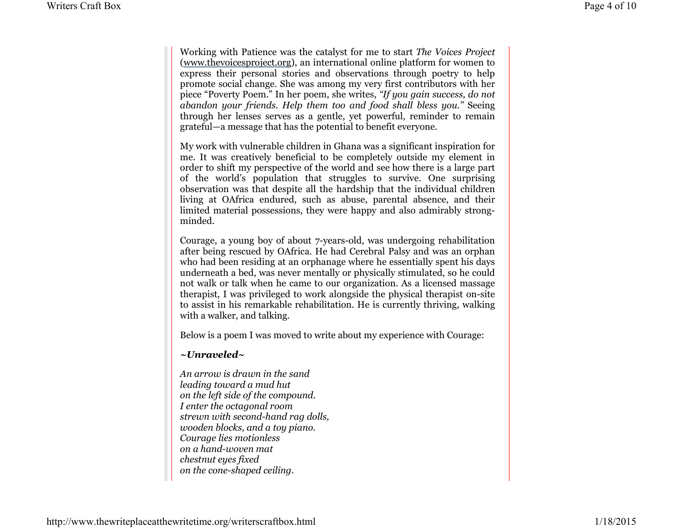Working with Patience was the catalyst for me to start *The Voices Project* (www.thevoicesproject.org), an international online platform for women to express their personal stories and observations through poetry to help promote social change. She was among my very first contributors with her piece "Poverty Poem." In her poem, she writes, *"If you gain success, do not abandon your friends. Help them too and food shall bless you."* Seeing through her lenses serves as a gentle, yet powerful, reminder to remain grateful—a message that has the potential to benefit everyone.

My work with vulnerable children in Ghana was a significant inspiration for me. It was creatively beneficial to be completely outside my element in order to shift my perspective of the world and see how there is a large part of the world's population that struggles to survive. One surprising observation was that despite all the hardship that the individual children living at OAfrica endured, such as abuse, parental absence, and their limited material possessions, they were happy and also admirably strongminded.

Courage, a young boy of about 7-years-old, was undergoing rehabilitation after being rescued by OAfrica. He had Cerebral Palsy and was an orphan who had been residing at an orphanage where he essentially spent his days underneath a bed, was never mentally or physically stimulated, so he could not walk or talk when he came to our organization. As a licensed massage therapist, I was privileged to work alongside the physical therapist on-site to assist in his remarkable rehabilitation. He is currently thriving, walking with a walker, and talking.

Below is a poem I was moved to write about my experience with Courage:

#### *~Unraveled~*

*An arrow is drawn in the sandleading toward a mud hut on the left side of the compound.I enter the octagonal room strewn with second-hand rag dolls,wooden blocks, and a toy piano. Courage lies motionlesson a hand-woven matchestnut eyes fixed on the cone-shaped ceiling.*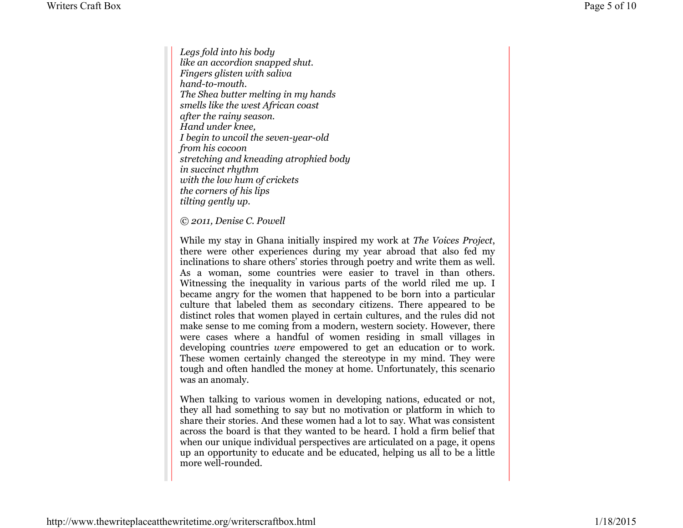*Legs fold into his body like an accordion snapped shut.Fingers glisten with salivahand-to-mouth. The Shea butter melting in my handssmells like the west African coastafter the rainy season.Hand under knee, I begin to uncoil the seven-year-oldfrom his cocoon stretching and kneading atrophied bodyin succinct rhythm with the low hum of cricketsthe corners of his lips tilting gently up.*

*© 2011, Denise C. Powell*

While my stay in Ghana initially inspired my work at *The Voices Project*, there were other experiences during my year abroad that also fed my inclinations to share others' stories through poetry and write them as well. As a woman, some countries were easier to travel in than others. Witnessing the inequality in various parts of the world riled me up. I became angry for the women that happened to be born into a particular culture that labeled them as secondary citizens. There appeared to be distinct roles that women played in certain cultures, and the rules did not make sense to me coming from a modern, western society. However, there were cases where a handful of women residing in small villages in developing countries *were* empowered to get an education or to work. These women certainly changed the stereotype in my mind. They were tough and often handled the money at home. Unfortunately, this scenario was an anomaly.

When talking to various women in developing nations, educated or not, they all had something to say but no motivation or platform in which to share their stories. And these women had a lot to say. What was consistent across the board is that they wanted to be heard. I hold a firm belief that when our unique individual perspectives are articulated on a page, it opens up an opportunity to educate and be educated, helping us all to be a little more well-rounded.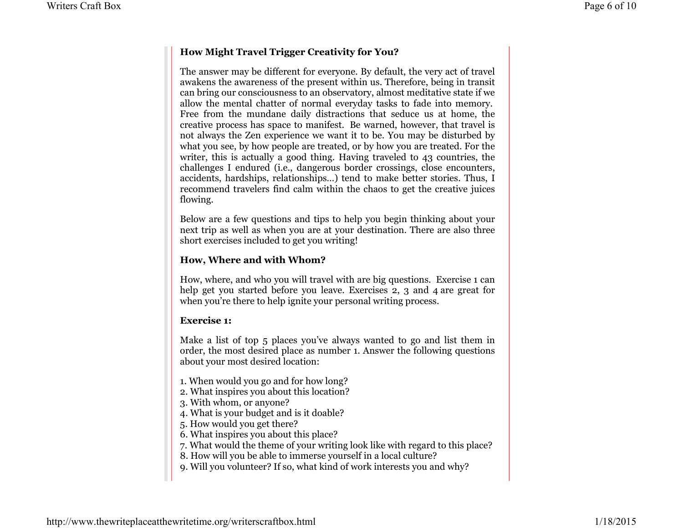## **How Might Travel Trigger Creativity for You?**

The answer may be different for everyone. By default, the very act of travel awakens the awareness of the present within us. Therefore, being in transit can bring our consciousness to an observatory, almost meditative state if we allow the mental chatter of normal everyday tasks to fade into memory. Free from the mundane daily distractions that seduce us at home, the creative process has space to manifest. Be warned, however, that travel is not always the Zen experience we want it to be. You may be disturbed by what you see, by how people are treated, or by how you are treated. For the writer, this is actually a good thing. Having traveled to 43 countries, the challenges I endured (i.e., dangerous border crossings, close encounters, accidents, hardships, relationships…) tend to make better stories. Thus, I recommend travelers find calm within the chaos to get the creative juices flowing.

Below are a few questions and tips to help you begin thinking about your next trip as well as when you are at your destination. There are also three short exercises included to get you writing!

### **How, Where and with Whom?**

How, where, and who you will travel with are big questions. Exercise 1 can help get you started before you leave. Exercises 2, 3 and 4 are great for when you're there to help ignite your personal writing process.

#### **Exercise 1:**

Make a list of top 5 places you've always wanted to go and list them in order, the most desired place as number 1. Answer the following questions about your most desired location:

- 1. When would you go and for how long?
- 2. What inspires you about this location?
- 3. With whom, or anyone?
- 4. What is your budget and is it doable?
- 5. How would you get there?
- 6. What inspires you about this place?
- 7. What would the theme of your writing look like with regard to this place?
- 8. How will you be able to immerse yourself in a local culture?
- 9. Will you volunteer? If so, what kind of work interests you and why?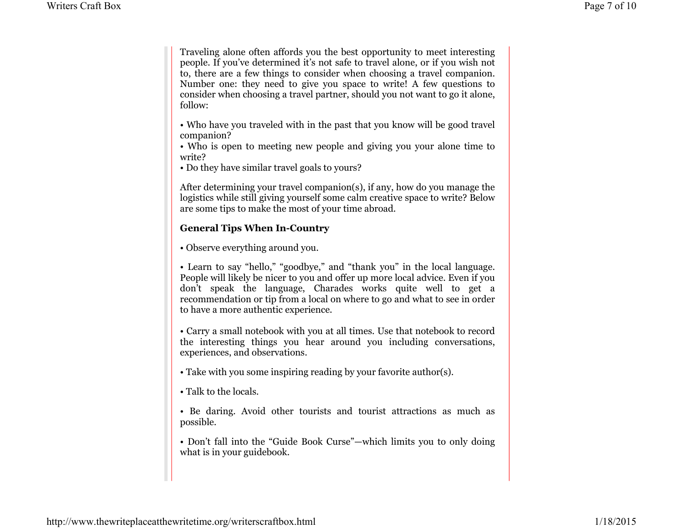Traveling alone often affords you the best opportunity to meet interesting people. If you've determined it's not safe to travel alone, or if you wish not to, there are a few things to consider when choosing a travel companion. Number one: they need to give you space to write! A few questions to consider when choosing a travel partner, should you not want to go it alone, follow:

• Who have you traveled with in the past that you know will be good travel companion?

 • Who is open to meeting new people and giving you your alone time to write?

• Do they have similar travel goals to yours?

After determining your travel companion(s), if any, how do you manage the logistics while still giving yourself some calm creative space to write? Below are some tips to make the most of your time abroad.

## **General Tips When In-Country**

• Observe everything around you.

• Learn to say "hello," "goodbye," and "thank you" in the local language. People will likely be nicer to you and offer up more local advice. Even if you don't speak the language, Charades works quite well to get a recommendation or tip from a local on where to go and what to see in order to have a more authentic experience.

• Carry a small notebook with you at all times. Use that notebook to record the interesting things you hear around you including conversations, experiences, and observations.

- Take with you some inspiring reading by your favorite author(s).
- Talk to the locals.

• Be daring. Avoid other tourists and tourist attractions as much as possible.

• Don't fall into the "Guide Book Curse"—which limits you to only doing what is in your guidebook.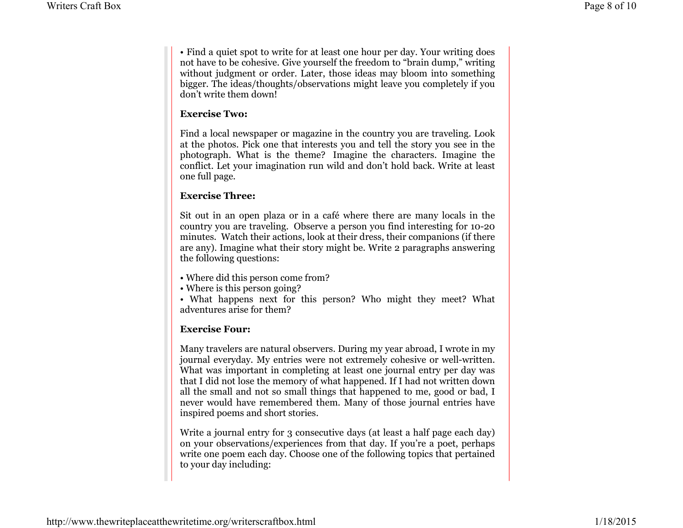• Find a quiet spot to write for at least one hour per day. Your writing does not have to be cohesive. Give yourself the freedom to "brain dump," writing without judgment or order. Later, those ideas may bloom into something bigger. The ideas/thoughts/observations might leave you completely if you don't write them down!

#### **Exercise Two:**

Find a local newspaper or magazine in the country you are traveling. Look at the photos. Pick one that interests you and tell the story you see in the photograph. What is the theme? Imagine the characters. Imagine the conflict. Let your imagination run wild and don't hold back. Write at least one full page.

## **Exercise Three:**

Sit out in an open plaza or in a café where there are many locals in the country you are traveling. Observe a person you find interesting for 10-20 minutes. Watch their actions, look at their dress, their companions (if there are any). Imagine what their story might be. Write 2 paragraphs answering the following questions:

- Where did this person come from?
- Where is this person going?

 • What happens next for this person? Who might they meet? What adventures arise for them?

## **Exercise Four:**

Many travelers are natural observers. During my year abroad, I wrote in my journal everyday. My entries were not extremely cohesive or well-written. What was important in completing at least one journal entry per day was that I did not lose the memory of what happened. If I had not written down all the small and not so small things that happened to me, good or bad, I never would have remembered them. Many of those journal entries have inspired poems and short stories.

Write a journal entry for 3 consecutive days (at least a half page each day) on your observations/experiences from that day. If you're a poet, perhaps write one poem each day. Choose one of the following topics that pertained to your day including: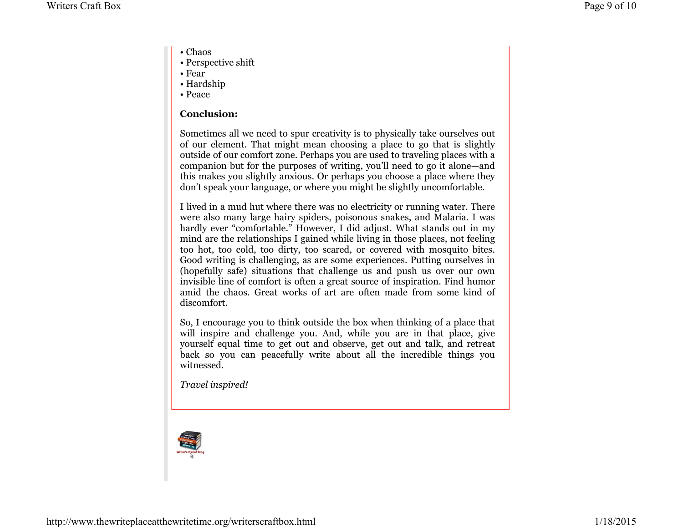- Chaos
- Perspective shift
- Fear
- Hardship
- Peace

## **Conclusion:**

Sometimes all we need to spur creativity is to physically take ourselves out of our element. That might mean choosing a place to go that is slightly outside of our comfort zone. Perhaps you are used to traveling places with a companion but for the purposes of writing, you'll need to go it alone—and this makes you slightly anxious. Or perhaps you choose a place where they don't speak your language, or where you might be slightly uncomfortable.

I lived in a mud hut where there was no electricity or running water. There were also many large hairy spiders, poisonous snakes, and Malaria. I was hardly ever "comfortable." However, I did adjust. What stands out in my mind are the relationships I gained while living in those places, not feeling too hot, too cold, too dirty, too scared, or covered with mosquito bites. Good writing is challenging, as are some experiences. Putting ourselves in (hopefully safe) situations that challenge us and push us over our own invisible line of comfort is often a great source of inspiration. Find humor amid the chaos. Great works of art are often made from some kind of discomfort.

So, I encourage you to think outside the box when thinking of a place that will inspire and challenge you. And, while you are in that place, give yourself equal time to get out and observe, get out and talk, and retreat back so you can peacefully write about all the incredible things you witnessed.

*Travel inspired!*